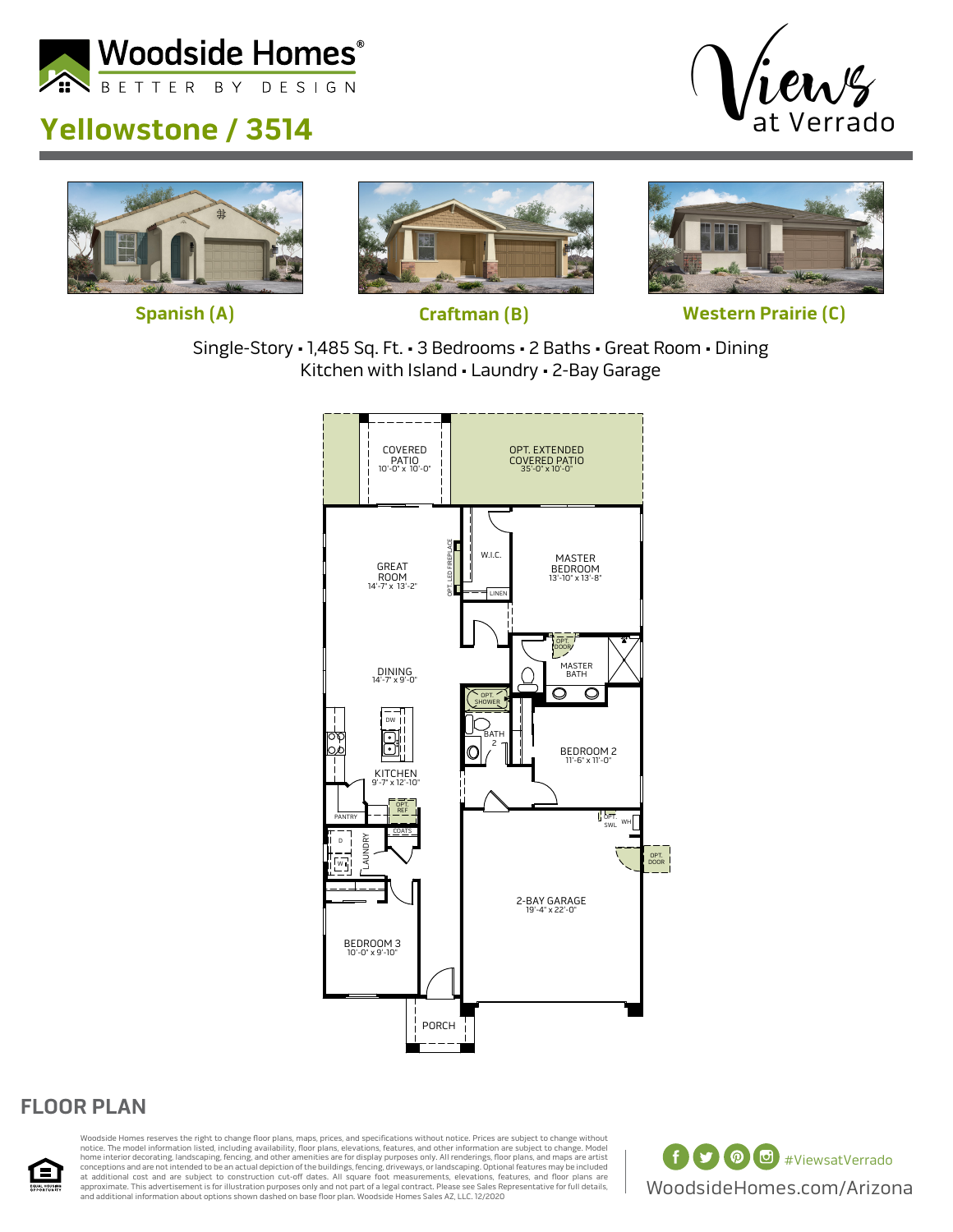









**Spanish (A) Craftman (B) Western Prairie (C)**

Single-Story • 1,485 Sq. Ft. • 3 Bedrooms • 2 Baths • Great Room • Dining Kitchen with Island • Laundry • 2-Bay Garage



## **FLOOR PLAN**



Woodside Homes reserves the right to change floor plans, maps, prices, and specifications without notice. Prices are subject to change without notice. The model information listed, including availability, floor plans, elevations, features, and other information are subject to change. Model<br>home interior decorating, landscaping, fencing, and other amenities are fo at additional cost and are subject to construction cut-off dates. All square foot measurements, elevations, features, and floor plans are [ ]]<br>approximate. This advertisement is for illustration purposes only and not part